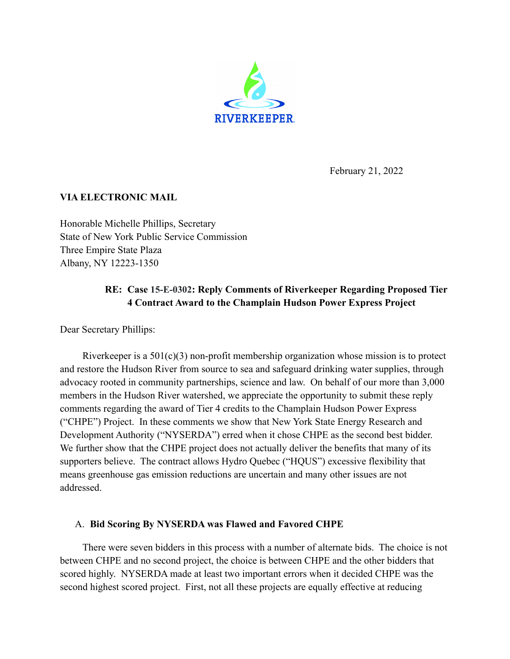

February 21, 2022

## **VIA ELECTRONIC MAIL**

Honorable Michelle Phillips, Secretary State of New York Public Service Commission Three Empire State Plaza Albany, NY 12223-1350

# **RE: Case 15-E-0302: Reply Comments of Riverkeeper Regarding Proposed Tier 4 Contract Award to the Champlain Hudson Power Express Project**

Dear Secretary Phillips:

Riverkeeper is a  $501(c)(3)$  non-profit membership organization whose mission is to protect and restore the Hudson River from source to sea and safeguard drinking water supplies, through advocacy rooted in community partnerships, science and law. On behalf of our more than 3,000 members in the Hudson River watershed, we appreciate the opportunity to submit these reply comments regarding the award of Tier 4 credits to the Champlain Hudson Power Express ("CHPE") Project. In these comments we show that New York State Energy Research and Development Authority ("NYSERDA") erred when it chose CHPE as the second best bidder. We further show that the CHPE project does not actually deliver the benefits that many of its supporters believe. The contract allows Hydro Quebec ("HQUS") excessive flexibility that means greenhouse gas emission reductions are uncertain and many other issues are not addressed.

#### A. **Bid Scoring By NYSERDA was Flawed and Favored CHPE**

There were seven bidders in this process with a number of alternate bids. The choice is not between CHPE and no second project, the choice is between CHPE and the other bidders that scored highly. NYSERDA made at least two important errors when it decided CHPE was the second highest scored project. First, not all these projects are equally effective at reducing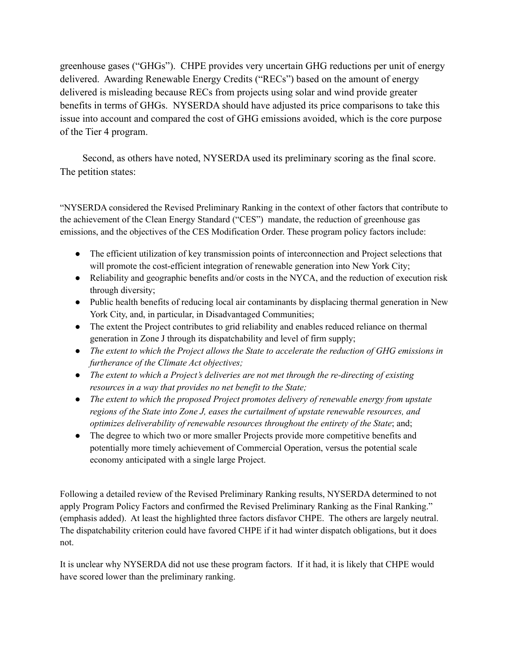greenhouse gases ("GHGs"). CHPE provides very uncertain GHG reductions per unit of energy delivered. Awarding Renewable Energy Credits ("RECs") based on the amount of energy delivered is misleading because RECs from projects using solar and wind provide greater benefits in terms of GHGs. NYSERDA should have adjusted its price comparisons to take this issue into account and compared the cost of GHG emissions avoided, which is the core purpose of the Tier 4 program.

Second, as others have noted, NYSERDA used its preliminary scoring as the final score. The petition states:

"NYSERDA considered the Revised Preliminary Ranking in the context of other factors that contribute to the achievement of the Clean Energy Standard ("CES") mandate, the reduction of greenhouse gas emissions, and the objectives of the CES Modification Order. These program policy factors include:

- The efficient utilization of key transmission points of interconnection and Project selections that will promote the cost-efficient integration of renewable generation into New York City;
- Reliability and geographic benefits and/or costs in the NYCA, and the reduction of execution risk through diversity;
- Public health benefits of reducing local air contaminants by displacing thermal generation in New York City, and, in particular, in Disadvantaged Communities;
- The extent the Project contributes to grid reliability and enables reduced reliance on thermal generation in Zone J through its dispatchability and level of firm supply;
- *● The extent to which the Project allows the State to accelerate the reduction of GHG emissions in furtherance of the Climate Act objectives;*
- *● The extent to which a Project's deliveries are not met through the re-directing of existing resources in a way that provides no net benefit to the State;*
- *The extent to which the proposed Project promotes delivery of renewable energy from upstate regions of the State into Zone J, eases the curtailment of upstate renewable resources, and optimizes deliverability of renewable resources throughout the entirety of the State*; and;
- The degree to which two or more smaller Projects provide more competitive benefits and potentially more timely achievement of Commercial Operation, versus the potential scale economy anticipated with a single large Project.

Following a detailed review of the Revised Preliminary Ranking results, NYSERDA determined to not apply Program Policy Factors and confirmed the Revised Preliminary Ranking as the Final Ranking." (emphasis added). At least the highlighted three factors disfavor CHPE. The others are largely neutral. The dispatchability criterion could have favored CHPE if it had winter dispatch obligations, but it does not.

It is unclear why NYSERDA did not use these program factors. If it had, it is likely that CHPE would have scored lower than the preliminary ranking.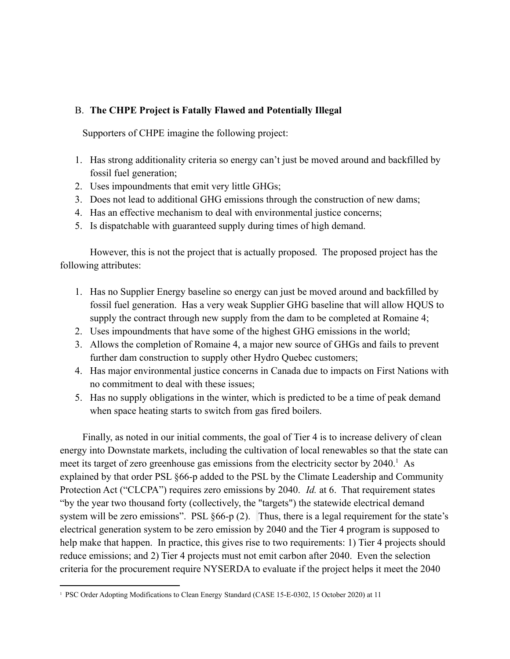### B. **The CHPE Project is Fatally Flawed and Potentially Illegal**

Supporters of CHPE imagine the following project:

- 1. Has strong additionality criteria so energy can't just be moved around and backfilled by fossil fuel generation;
- 2. Uses impoundments that emit very little GHGs;
- 3. Does not lead to additional GHG emissions through the construction of new dams;
- 4. Has an effective mechanism to deal with environmental justice concerns;
- 5. Is dispatchable with guaranteed supply during times of high demand.

However, this is not the project that is actually proposed. The proposed project has the following attributes:

- 1. Has no Supplier Energy baseline so energy can just be moved around and backfilled by fossil fuel generation. Has a very weak Supplier GHG baseline that will allow HQUS to supply the contract through new supply from the dam to be completed at Romaine 4;
- 2. Uses impoundments that have some of the highest GHG emissions in the world;
- 3. Allows the completion of Romaine 4, a major new source of GHGs and fails to prevent further dam construction to supply other Hydro Quebec customers;
- 4. Has major environmental justice concerns in Canada due to impacts on First Nations with no commitment to deal with these issues;
- 5. Has no supply obligations in the winter, which is predicted to be a time of peak demand when space heating starts to switch from gas fired boilers.

Finally, as noted in our initial comments, the goal of Tier 4 is to increase delivery of clean energy into Downstate markets, including the cultivation of local renewables so that the state can meet its target of zero greenhouse gas emissions from the electricity sector by 2040.<sup>1</sup> As explained by that order PSL §66-p added to the PSL by the Climate Leadership and Community Protection Act ("CLCPA") requires zero emissions by 2040. *Id.* at 6. That requirement states "by the year two thousand forty (collectively, the "targets") the statewide electrical demand system will be zero emissions". PSL §66-p (2). Thus, there is a legal requirement for the state's electrical generation system to be zero emission by 2040 and the Tier 4 program is supposed to help make that happen. In practice, this gives rise to two requirements: 1) Tier 4 projects should reduce emissions; and 2) Tier 4 projects must not emit carbon after 2040. Even the selection criteria for the procurement require NYSERDA to evaluate if the project helps it meet the 2040

<sup>1</sup> PSC Order Adopting Modifications to Clean Energy Standard (CASE 15-E-0302, 15 October 2020) at 11